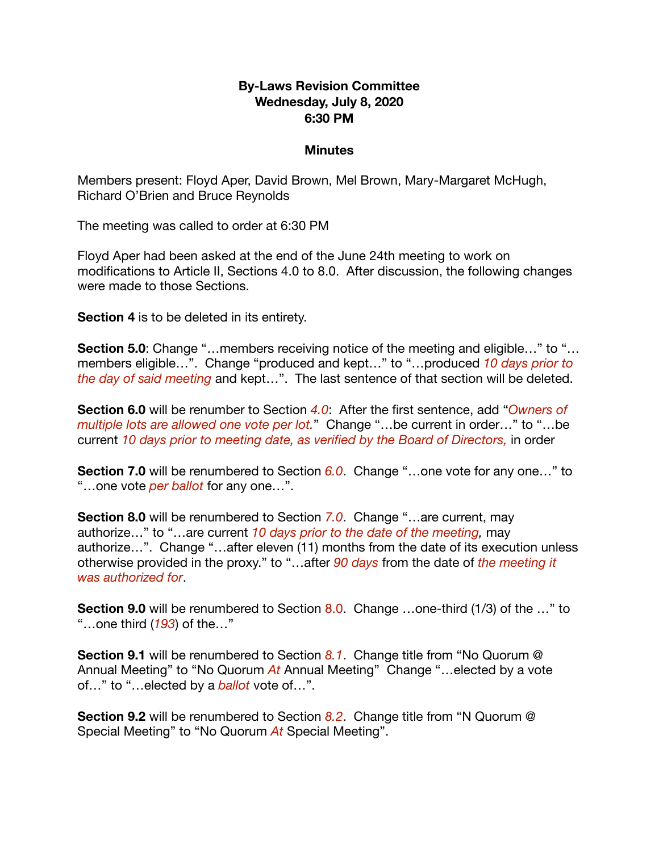#### **By-Laws Revision Committee Wednesday, July 8, 2020 6:30 PM**

#### **Minutes**

Members present: Floyd Aper, David Brown, Mel Brown, Mary-Margaret McHugh, Richard O'Brien and Bruce Reynolds

The meeting was called to order at 6:30 PM

Floyd Aper had been asked at the end of the June 24th meeting to work on modifications to Article II, Sections 4.0 to 8.0. After discussion, the following changes were made to those Sections.

**Section 4** is to be deleted in its entirety.

**Section 5.0**: Change "...members receiving notice of the meeting and eligible..." to "... members eligible…". Change "produced and kept…" to "…produced *10 days prior to the day of said meeting* and kept…". The last sentence of that section will be deleted.

**Section 6.0** will be renumber to Section *4.0*: After the first sentence, add "*Owners of multiple lots are allowed one vote per lot.*" Change "…be current in order…" to "…be current *10 days prior to meeting date, as verified by the Board of Directors,* in order

**Section 7.0** will be renumbered to Section 6.0. Change "...one vote for any one..." to "…one vote *per ballot* for any one…".

**Section 8.0** will be renumbered to Section *7.0*. Change "…are current, may authorize…" to "…are current *10 days prior to the date of the meeting,* may authorize…". Change "…after eleven (11) months from the date of its execution unless otherwise provided in the proxy." to "…after *90 days* from the date of *the meeting it was authorized for*.

**Section 9.0** will be renumbered to Section 8.0. Change ...one-third (1/3) of the ..." to "…one third (*193*) of the…"

**Section 9.1** will be renumbered to Section *8.1*. Change title from "No Quorum @ Annual Meeting" to "No Quorum *At* Annual Meeting" Change "…elected by a vote of…" to "…elected by a *ballot* vote of…".

**Section 9.2** will be renumbered to Section *8.2*. Change title from "N Quorum @ Special Meeting" to "No Quorum *At* Special Meeting".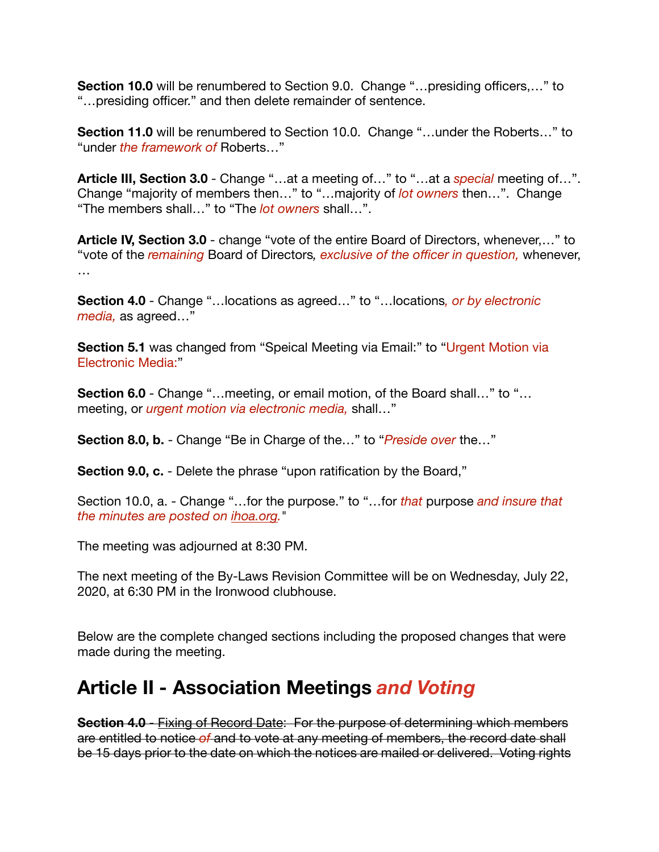**Section 10.0** will be renumbered to Section 9.0. Change "…presiding officers,…" to "…presiding officer." and then delete remainder of sentence.

**Section 11.0** will be renumbered to Section 10.0. Change "...under the Roberts..." to "under *the framework of* Roberts…"

**Article III, Section 3.0** - Change "…at a meeting of…" to "…at a *special* meeting of…". Change "majority of members then…" to "…majority of *lot owners* then…". Change "The members shall…" to "The *lot owners* shall…".

**Article IV, Section 3.0** - change "vote of the entire Board of Directors, whenever,…" to "vote of the *remaining* Board of Directors*, exclusive of the officer in question,* whenever, …

**Section 4.0** - Change "…locations as agreed…" to "…locations*, or by electronic media,* as agreed…"

**Section 5.1** was changed from "Speical Meeting via Email:" to "Urgent Motion via Electronic Media:"

**Section 6.0** - Change "...meeting, or email motion, of the Board shall..." to "... meeting, or *urgent motion via electronic media,* shall…"

**Section 8.0, b.** - Change "Be in Charge of the…" to "*Preside over* the…"

**Section 9.0, c.** - Delete the phrase "upon ratification by the Board,"

Section 10.0, a. - Change "…for the purpose." to "…for *that* purpose *and insure that the minutes are posted on [ihoa.org](http://ihoa.org).*"

The meeting was adjourned at 8:30 PM.

The next meeting of the By-Laws Revision Committee will be on Wednesday, July 22, 2020, at 6:30 PM in the Ironwood clubhouse.

Below are the complete changed sections including the proposed changes that were made during the meeting.

### **Article II - Association Meetings** *and Voting*

**Section 4.0** - Fixing of Record Date: For the purpose of determining which members are entitled to notice *of* and to vote at any meeting of members, the record date shall be 15 days prior to the date on which the notices are mailed or delivered. Voting rights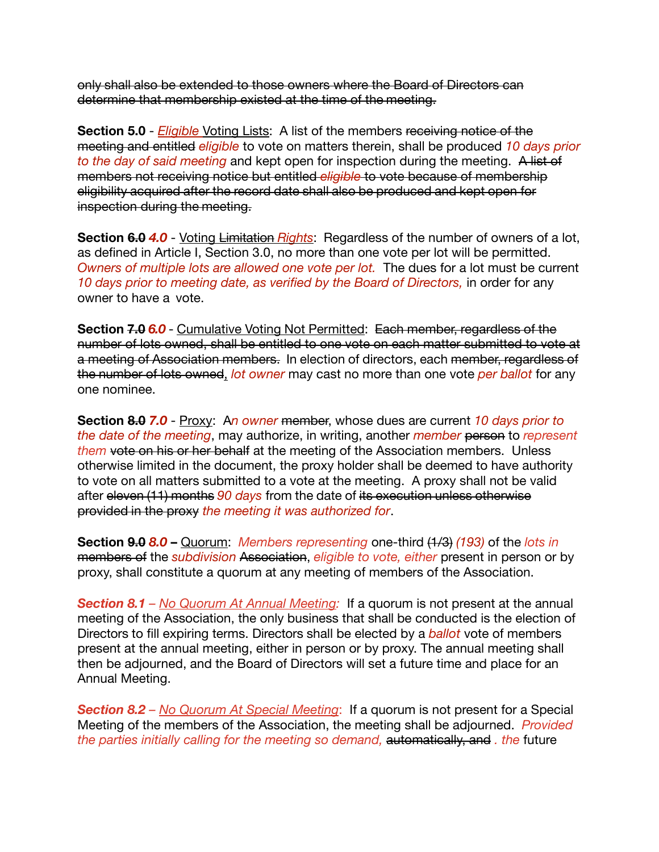only shall also be extended to those owners where the Board of Directors can determine that membership existed at the time of the meeting.

**Section 5.0** - *Eligible* Voting Lists: A list of the members receiving notice of the meeting and entitled *eligible* to vote on matters therein, shall be produced *10 days prior to the day of said meeting* and kept open for inspection during the meeting. A list of members not receiving notice but entitled *eligible* to vote because of membership eligibility acquired after the record date shall also be produced and kept open for inspection during the meeting.

**Section 6.0 4.0** - Voting Limitation *Rights*: Regardless of the number of owners of a lot, as defined in Article I, Section 3.0, no more than one vote per lot will be permitted. *Owners of multiple lots are allowed one vote per lot.* The dues for a lot must be current *10 days prior to meeting date, as verified by the Board of Directors,* in order for any owner to have a vote.

**Section 7.0** *6.0* - Cumulative Voting Not Permitted: Each member, regardless of the number of lots owned, shall be entitled to one vote on each matter submitted to vote at a meeting of Association members. In election of directors, each member, regardless of the number of lots owned, *lot owner* may cast no more than one vote *per ballot* for any one nominee.

**Section 8.0** *7.0* - Proxy: A*n owner* member, whose dues are current *10 days prior to the date of the meeting*, may authorize, in writing, another *member* person to *represent them* vote on his or her behalf at the meeting of the Association members. Unless otherwise limited in the document, the proxy holder shall be deemed to have authority to vote on all matters submitted to a vote at the meeting. A proxy shall not be valid after eleven (11) months *90 days* from the date of its execution unless otherwise provided in the proxy *the meeting it was authorized for*.

**Section 9.0** *8.0* **–** Quorum: *Members representing* one-third (1/3) *(193)* of the *lots in* members of the *subdivision* Association, *eligible to vote, either* present in person or by proxy, shall constitute a quorum at any meeting of members of the Association.

*Section 8.1 – No Quorum At Annual Meeting:* If a quorum is not present at the annual meeting of the Association, the only business that shall be conducted is the election of Directors to fill expiring terms. Directors shall be elected by a *ballot* vote of members present at the annual meeting, either in person or by proxy. The annual meeting shall then be adjourned, and the Board of Directors will set a future time and place for an Annual Meeting.

*Section 8.2 – No Quorum At Special Meeting*: If a quorum is not present for a Special Meeting of the members of the Association, the meeting shall be adjourned. *Provided the parties initially calling for the meeting so demand,* automatically, and *. the* future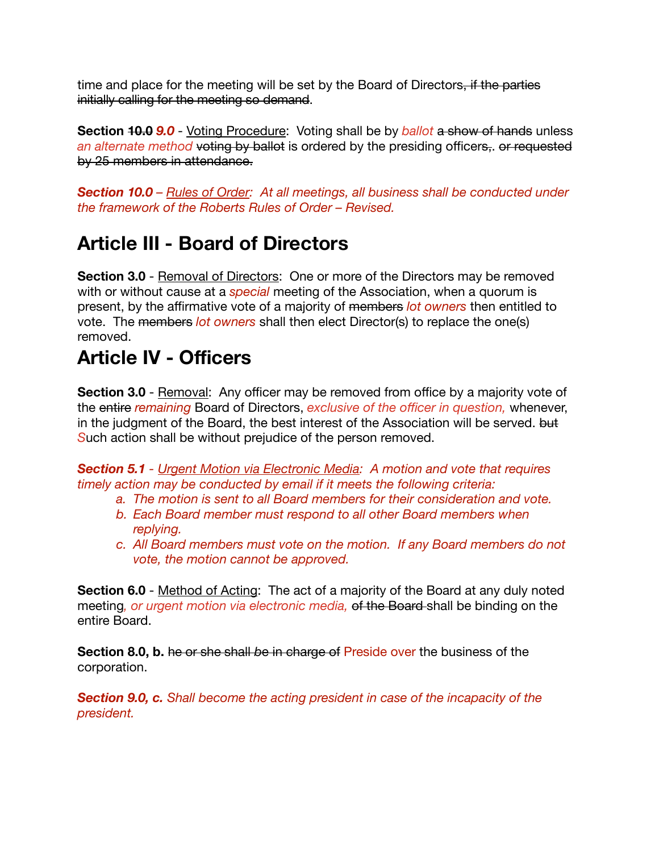time and place for the meeting will be set by the Board of Directors, if the parties initially calling for the meeting so demand.

**Section 10.0** *9.0* - Voting Procedure: Voting shall be by *ballot* a show of hands unless *an alternate method* voting by ballot is ordered by the presiding officers,. or requested by 25 members in attendance.

*Section 10.0 – Rules of Order: At all meetings, all business shall be conducted under the framework of the Roberts Rules of Order – Revised.* 

# **Article III - Board of Directors**

**Section 3.0** - Removal of Directors: One or more of the Directors may be removed with or without cause at a *special* meeting of the Association, when a quorum is present, by the affirmative vote of a majority of members *lot owners* then entitled to vote. The members *lot owners* shall then elect Director(s) to replace the one(s) removed.

## **Article IV - Officers**

**Section 3.0** - Removal: Any officer may be removed from office by a majority vote of the entire *remaining* Board of Directors, *exclusive of the officer in question,* whenever, in the judgment of the Board, the best interest of the Association will be served. but *S*uch action shall be without prejudice of the person removed.

*Section 5.1 - Urgent Motion via Electronic Media: A motion and vote that requires timely action may be conducted by email if it meets the following criteria:* 

- *a. The motion is sent to all Board members for their consideration and vote.*
- *b. Each Board member must respond to all other Board members when replying.*
- *c. All Board members must vote on the motion. If any Board members do not vote, the motion cannot be approved.*

**Section 6.0** - Method of Acting: The act of a majority of the Board at any duly noted meeting*, or urgent motion via electronic media,* of the Board shall be binding on the entire Board.

**Section 8.0, b.** he or she shall *b*e in charge of Preside over the business of the corporation.

*Section 9.0, c. Shall become the acting president in case of the incapacity of the president.*